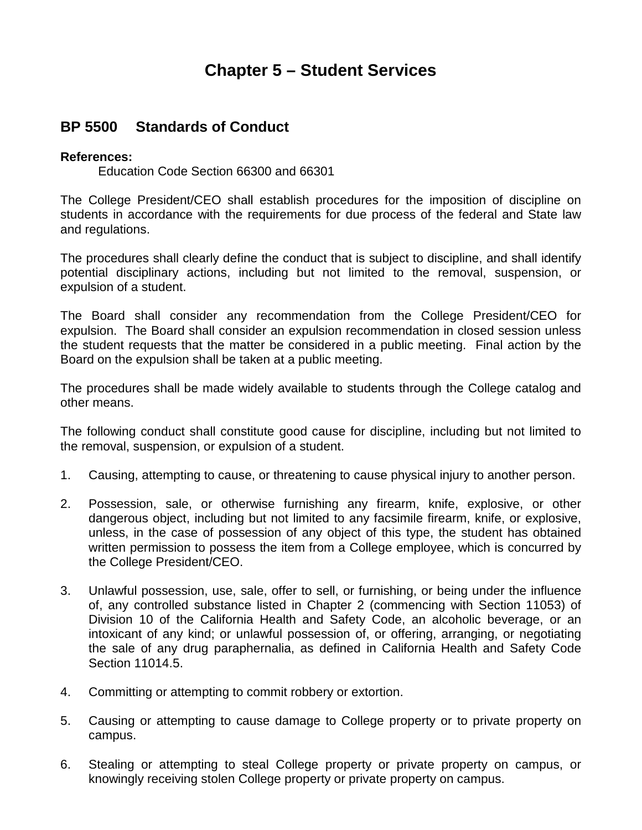## **Chapter 5 – Student Services**

## **BP 5500 Standards of Conduct**

## **References:**

Education Code Section 66300 and 66301

The College President/CEO shall establish procedures for the imposition of discipline on students in accordance with the requirements for due process of the federal and State law and regulations.

The procedures shall clearly define the conduct that is subject to discipline, and shall identify potential disciplinary actions, including but not limited to the removal, suspension, or expulsion of a student.

The Board shall consider any recommendation from the College President/CEO for expulsion. The Board shall consider an expulsion recommendation in closed session unless the student requests that the matter be considered in a public meeting. Final action by the Board on the expulsion shall be taken at a public meeting.

The procedures shall be made widely available to students through the College catalog and other means.

The following conduct shall constitute good cause for discipline, including but not limited to the removal, suspension, or expulsion of a student.

- 1. Causing, attempting to cause, or threatening to cause physical injury to another person.
- 2. Possession, sale, or otherwise furnishing any firearm, knife, explosive, or other dangerous object, including but not limited to any facsimile firearm, knife, or explosive, unless, in the case of possession of any object of this type, the student has obtained written permission to possess the item from a College employee, which is concurred by the College President/CEO.
- 3. Unlawful possession, use, sale, offer to sell, or furnishing, or being under the influence of, any controlled substance listed in Chapter 2 (commencing with Section 11053) of Division 10 of the California Health and Safety Code, an alcoholic beverage, or an intoxicant of any kind; or unlawful possession of, or offering, arranging, or negotiating the sale of any drug paraphernalia, as defined in California Health and Safety Code Section 11014.5.
- 4. Committing or attempting to commit robbery or extortion.
- 5. Causing or attempting to cause damage to College property or to private property on campus.
- 6. Stealing or attempting to steal College property or private property on campus, or knowingly receiving stolen College property or private property on campus.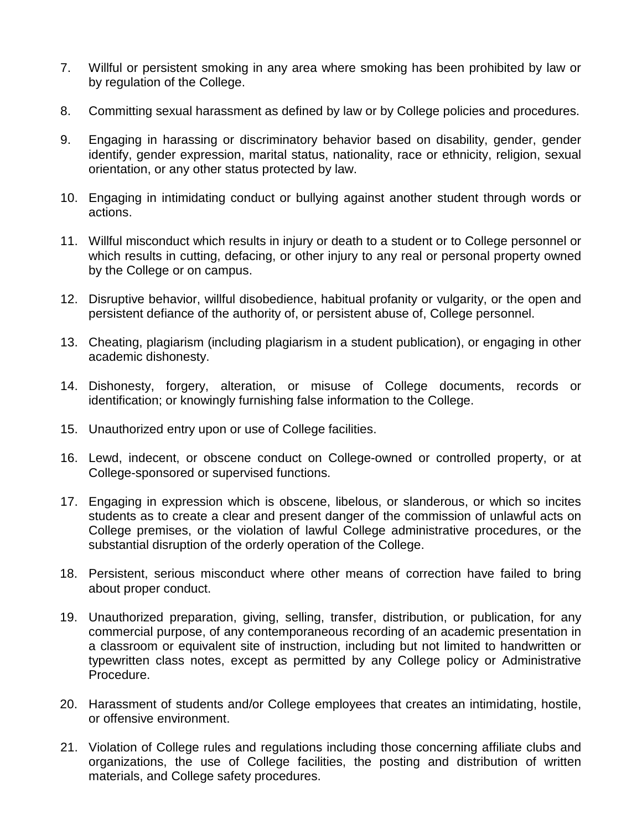- 7. Willful or persistent smoking in any area where smoking has been prohibited by law or by regulation of the College.
- 8. Committing sexual harassment as defined by law or by College policies and procedures.
- 9. Engaging in harassing or discriminatory behavior based on disability, gender, gender identify, gender expression, marital status, nationality, race or ethnicity, religion, sexual orientation, or any other status protected by law.
- 10. Engaging in intimidating conduct or bullying against another student through words or actions.
- 11. Willful misconduct which results in injury or death to a student or to College personnel or which results in cutting, defacing, or other injury to any real or personal property owned by the College or on campus.
- 12. Disruptive behavior, willful disobedience, habitual profanity or vulgarity, or the open and persistent defiance of the authority of, or persistent abuse of, College personnel.
- 13. Cheating, plagiarism (including plagiarism in a student publication), or engaging in other academic dishonesty.
- 14. Dishonesty, forgery, alteration, or misuse of College documents, records or identification; or knowingly furnishing false information to the College.
- 15. Unauthorized entry upon or use of College facilities.
- 16. Lewd, indecent, or obscene conduct on College-owned or controlled property, or at College-sponsored or supervised functions.
- 17. Engaging in expression which is obscene, libelous, or slanderous, or which so incites students as to create a clear and present danger of the commission of unlawful acts on College premises, or the violation of lawful College administrative procedures, or the substantial disruption of the orderly operation of the College.
- 18. Persistent, serious misconduct where other means of correction have failed to bring about proper conduct.
- 19. Unauthorized preparation, giving, selling, transfer, distribution, or publication, for any commercial purpose, of any contemporaneous recording of an academic presentation in a classroom or equivalent site of instruction, including but not limited to handwritten or typewritten class notes, except as permitted by any College policy or Administrative Procedure.
- 20. Harassment of students and/or College employees that creates an intimidating, hostile, or offensive environment.
- 21. Violation of College rules and regulations including those concerning affiliate clubs and organizations, the use of College facilities, the posting and distribution of written materials, and College safety procedures.